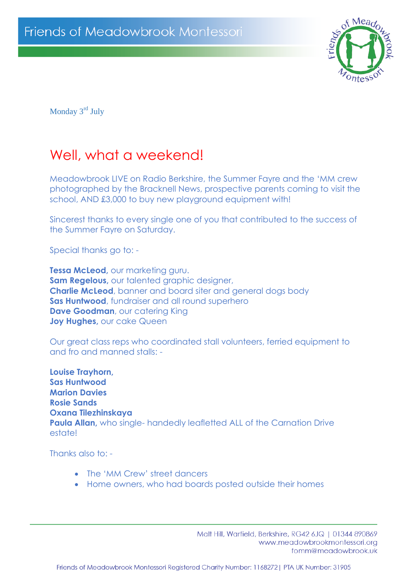

Monday 3<sup>rd</sup> July

## Well, what a weekend!

Meadowbrook LIVE on Radio Berkshire, the Summer Fayre and the 'MM crew photographed by the Bracknell News, prospective parents coming to visit the school, AND £3,000 to buy new playground equipment with!

Sincerest thanks to every single one of you that contributed to the success of the Summer Fayre on Saturday.

Special thanks go to: -

**Tessa McLeod,** our marketing guru. **Sam Regelous,** our talented graphic designer, **Charlie McLeod**, banner and board siter and general dogs body **Sas Huntwood**, fundraiser and all round superhero **Dave Goodman**, our catering King **Joy Hughes, our cake Queen** 

Our great class reps who coordinated stall volunteers, ferried equipment to and fro and manned stalls: -

**Louise Trayhorn, Sas Huntwood Marion Davies Rosie Sands Oxana Tilezhinskaya Paula Allan,** who single- handedly leafletted ALL of the Carnation Drive estate!

Thanks also to: -

- The 'MM Crew' street dancers
- Home owners, who had boards posted outside their homes